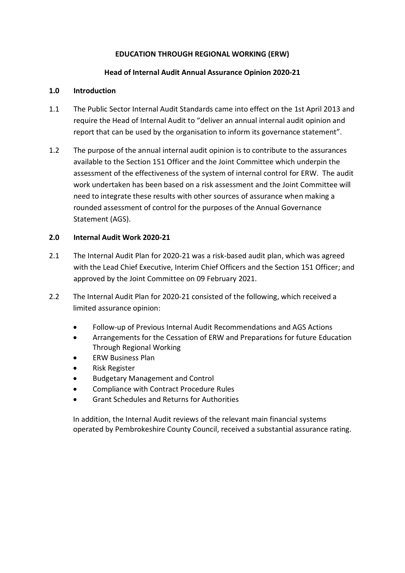# **EDUCATION THROUGH REGIONAL WORKING (ERW)**

### **Head of Internal Audit Annual Assurance Opinion 2020-21**

### **1.0 Introduction**

- 1.1 The Public Sector Internal Audit Standards came into effect on the 1st April 2013 and require the Head of Internal Audit to "deliver an annual internal audit opinion and report that can be used by the organisation to inform its governance statement".
- 1.2 The purpose of the annual internal audit opinion is to contribute to the assurances available to the Section 151 Officer and the Joint Committee which underpin the assessment of the effectiveness of the system of internal control for ERW. The audit work undertaken has been based on a risk assessment and the Joint Committee will need to integrate these results with other sources of assurance when making a rounded assessment of control for the purposes of the Annual Governance Statement (AGS).

## **2.0 Internal Audit Work 2020-21**

- 2.1 The Internal Audit Plan for 2020-21 was a risk-based audit plan, which was agreed with the Lead Chief Executive, Interim Chief Officers and the Section 151 Officer; and approved by the Joint Committee on 09 February 2021.
- 2.2 The Internal Audit Plan for 2020-21 consisted of the following, which received a limited assurance opinion:
	- Follow-up of Previous Internal Audit Recommendations and AGS Actions
	- Arrangements for the Cessation of ERW and Preparations for future Education Through Regional Working
	- ERW Business Plan
	- Risk Register
	- Budgetary Management and Control
	- Compliance with Contract Procedure Rules
	- Grant Schedules and Returns for Authorities

In addition, the Internal Audit reviews of the relevant main financial systems operated by Pembrokeshire County Council, received a substantial assurance rating.